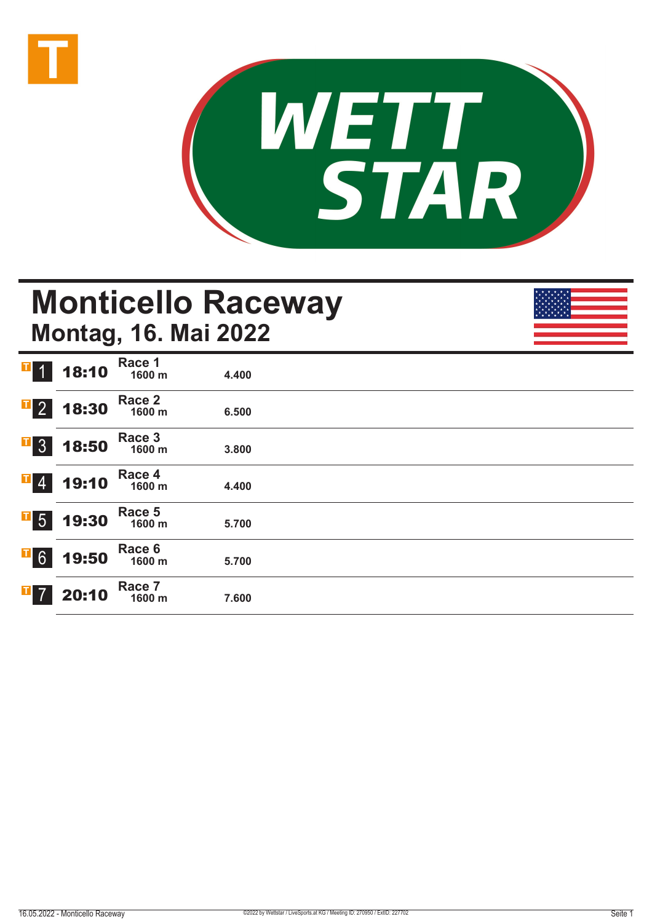



## **Monticello Raceway Montag, 16. Mai 2022**

| $\mathbf{T}$ 1             | 18:10 | Race 1<br>1600 m | 4.400 |  |  |
|----------------------------|-------|------------------|-------|--|--|
| $\overline{1}$ 2           | 18:30 | Race 2<br>1600 m | 6.500 |  |  |
| $\overline{1}$ 3           | 18:50 | Race 3<br>1600 m | 3.800 |  |  |
| $\overline{\phantom{0}}$ 4 | 19:10 | Race 4<br>1600 m | 4.400 |  |  |
| $\overline{1}$ 5           | 19:30 | Race 5<br>1600 m | 5.700 |  |  |
| $\overline{1}$ 6           | 19:50 | Race 6<br>1600 m | 5.700 |  |  |
| $\overline{1}$ 7           | 20:10 | Race 7<br>1600 m | 7.600 |  |  |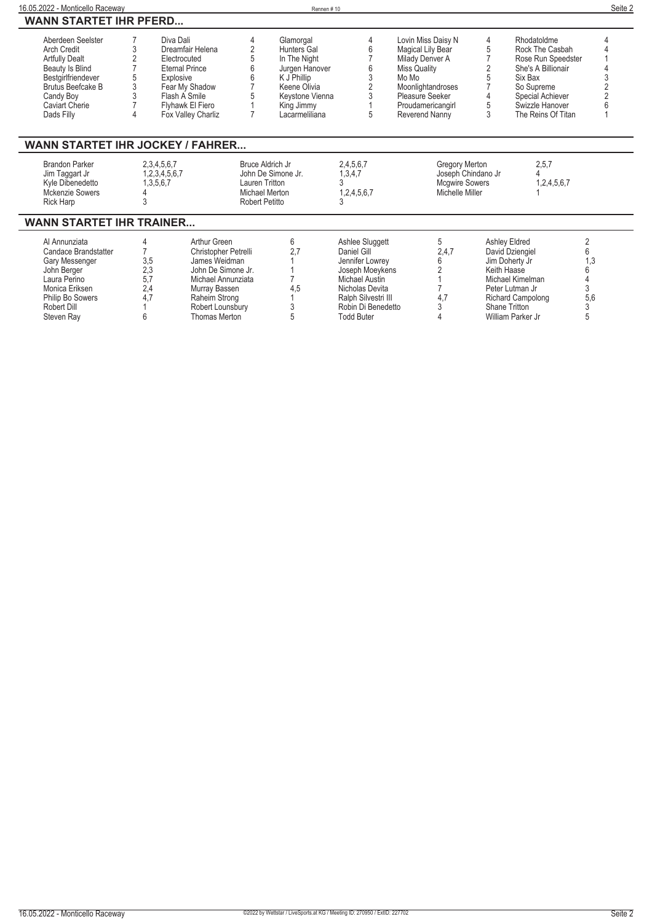| Aberdeen Seelster     | Diva Dali             |   | Glamorgal          |   | Lovin Miss Daisy N | Rhodatoldme        |  |
|-----------------------|-----------------------|---|--------------------|---|--------------------|--------------------|--|
| Arch Credit           | Dreamfair Helena      |   | <b>Hunters Gal</b> |   | Magical Lily Bear  | Rock The Casbah    |  |
| <b>Artfully Dealt</b> | Electrocuted          |   | In The Night       |   | Milady Denver A    | Rose Run Speedster |  |
| Beauty Is Blind       | <b>Eternal Prince</b> |   | Jurgen Hanover     | b | Miss Quality       | She's A Billionair |  |
| Bestgirlfriendever    | Explosive             | 6 | K J Phillip        |   | Mo Mo              | Six Bax            |  |
| Brutus Beefcake B     | Fear My Shadow        |   | Keene Olivia       |   | Moonlightandroses  | So Supreme         |  |
| Candy Boy             | Flash A Smile         |   | Keystone Vienna    |   | Pleasure Seeker    | Special Achiever   |  |
| Caviart Cherie        | Flyhawk El Fiero      |   | King Jimmy         |   | Proudamericangirl  | Swizzle Hanover    |  |
| Dads Filly            | Fox Valley Charliz    |   | Lacarmeliliana     | 5 | Reverend Nanny     | The Reins Of Titan |  |

| Jim Taggart Jr<br>Kyle Dibenedetto<br>Mckenzie Sowers<br><b>Rick Harp</b> | .2.3.4.5.6.7<br>.3.5.6.7 | John De Simone Jr.<br>Lauren Tritton<br>Michael Merton<br>Robert Petitto |            | 1,3,4,7<br>1.2.4.5.6.7     | Joseph Chindano Jr<br><b>Mcgwire Sowers</b><br>Michelle Miller |                    | 1,2,4,5,6,7 |  |
|---------------------------------------------------------------------------|--------------------------|--------------------------------------------------------------------------|------------|----------------------------|----------------------------------------------------------------|--------------------|-------------|--|
| WANN STARTET IHR TRAINER                                                  |                          |                                                                          |            |                            |                                                                |                    |             |  |
| Al Annunziata<br>$\sim$ $\sim$ $\sim$ $\sim$ $\sim$ $\sim$                |                          | Arthur Green<br>$\sim$ $\sim$ $\sim$ $\sim$ $\sim$ $\sim$ $\sim$ $\sim$  | $\sim$ $-$ | Ashlee Sluggett<br>$    -$ | $\sim$ $\sim$ $\sim$                                           | Ashley Eldred<br>. |             |  |

| M AILIUILUU          |     | ווטטוש וואודו        |     | Adriice Oldygen     |       | лонго сыноч       |     |
|----------------------|-----|----------------------|-----|---------------------|-------|-------------------|-----|
| Candace Brandstatter |     | Christopher Petrelli |     | Daniel Gill         | 2,4,7 | David Dziengiel   |     |
| Gary Messenger       | 3.5 | James Weidman        |     | Jennifer Lowrey     |       | Jim Doherty Jr    |     |
| John Berger          | 2.3 | John De Simone Jr.   |     | Joseph Moevkens     |       | Keith Haase       |     |
| Laura Perino         |     | Michael Annunziata   |     | Michael Austin      |       | Michael Kimelman  |     |
| Monica Eriksen       | 2.4 | Murray Bassen        | 4.5 | Nicholas Devita     |       | Peter Lutman Jr   |     |
| Philip Bo Sowers     |     | Raheim Strong        |     | Ralph Silvestri III | 4.7   | Richard Campolong | 5.6 |
| Robert Dill          |     | Robert Lounsbury     |     | Robin Di Benedetto  |       | Shane Tritton     |     |
| Steven Rav           |     | Thomas Merton        |     | <b>Todd Buter</b>   |       | William Parker Jr |     |
|                      |     |                      |     |                     |       |                   |     |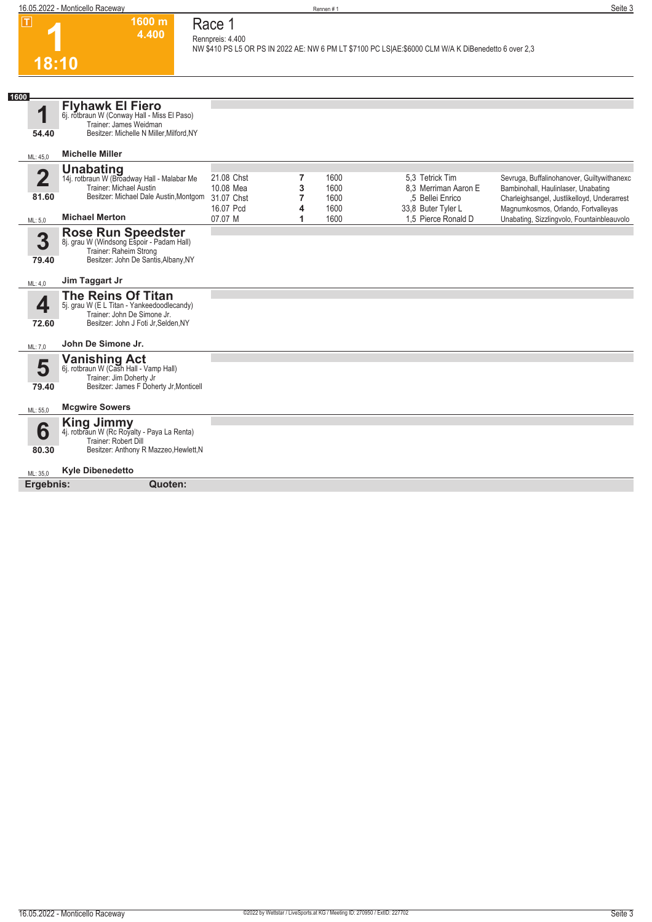**1600 m 4.400** 

**Race 1 Rennpreis: 4.400**

**NW \$410 PS L5 OR PS IN 2022 AE: NW 6 PM LT \$7100 PC LS|AE:\$6000 CLM W/A K DiBenedetto 6 over 2,3** 

**1 18:10**

| 1600<br><b>Flyhawk El Fiero</b><br>И<br>6j. rotbraun W (Conway Hall - Miss El Paso)<br>Trainer: James Weidman<br>Besitzer: Michelle N Miller, Milford, NY<br>54.40<br><b>Michelle Miller</b><br>ML: 45,0<br><b>Unabating</b><br>14j. rotbraun W (Broadway Hall - Malabar Me<br>$\overline{2}$<br>21.08 Chst<br>7<br>1600<br>5.3 Tetrick Tim<br>Sevruga, Buffalinohanover, Guiltywithanexc<br>Trainer: Michael Austin<br>10.08 Mea<br>3<br>1600<br>8.3 Merriman Aaron E<br>Bambinohall, Haulinlaser, Unabating<br>Besitzer: Michael Dale Austin, Montgom<br>81.60<br>31.07 Chst<br>.5 Bellei Enrico<br>7<br>1600<br>Charleighsangel, Justlikelloyd, Underarrest<br>16.07 Pcd<br>1600<br>33,8 Buter Tyler L<br>Magnumkosmos, Orlando, Fortvalleyas<br>4<br><b>Michael Merton</b><br>07.07 M<br>1,5 Pierce Ronald D<br>Unabating, Sizzlingvolo, Fountainbleauvolo<br>1600<br>1<br>ML: 5,0<br>Rose Run Speedster<br>8j. grau W (Windsong Espoir - Padam Hall)<br>3<br>Trainer: Raheim Strong<br>Besitzer: John De Santis, Albany, NY<br>79.40<br>Jim Taggart Jr<br>ML: 4,0<br><b>The Reins Of Titan</b><br>5j. grau W (E L Titan - Yankeedoodlecandy)<br>4<br>Trainer: John De Simone Jr.<br>Besitzer: John J Foti Jr, Selden, NY<br>72.60<br>John De Simone Jr.<br>ML: 7,0 |  |
|-------------------------------------------------------------------------------------------------------------------------------------------------------------------------------------------------------------------------------------------------------------------------------------------------------------------------------------------------------------------------------------------------------------------------------------------------------------------------------------------------------------------------------------------------------------------------------------------------------------------------------------------------------------------------------------------------------------------------------------------------------------------------------------------------------------------------------------------------------------------------------------------------------------------------------------------------------------------------------------------------------------------------------------------------------------------------------------------------------------------------------------------------------------------------------------------------------------------------------------------------------------------------|--|
|                                                                                                                                                                                                                                                                                                                                                                                                                                                                                                                                                                                                                                                                                                                                                                                                                                                                                                                                                                                                                                                                                                                                                                                                                                                                         |  |
|                                                                                                                                                                                                                                                                                                                                                                                                                                                                                                                                                                                                                                                                                                                                                                                                                                                                                                                                                                                                                                                                                                                                                                                                                                                                         |  |
|                                                                                                                                                                                                                                                                                                                                                                                                                                                                                                                                                                                                                                                                                                                                                                                                                                                                                                                                                                                                                                                                                                                                                                                                                                                                         |  |
|                                                                                                                                                                                                                                                                                                                                                                                                                                                                                                                                                                                                                                                                                                                                                                                                                                                                                                                                                                                                                                                                                                                                                                                                                                                                         |  |
|                                                                                                                                                                                                                                                                                                                                                                                                                                                                                                                                                                                                                                                                                                                                                                                                                                                                                                                                                                                                                                                                                                                                                                                                                                                                         |  |
|                                                                                                                                                                                                                                                                                                                                                                                                                                                                                                                                                                                                                                                                                                                                                                                                                                                                                                                                                                                                                                                                                                                                                                                                                                                                         |  |
|                                                                                                                                                                                                                                                                                                                                                                                                                                                                                                                                                                                                                                                                                                                                                                                                                                                                                                                                                                                                                                                                                                                                                                                                                                                                         |  |
|                                                                                                                                                                                                                                                                                                                                                                                                                                                                                                                                                                                                                                                                                                                                                                                                                                                                                                                                                                                                                                                                                                                                                                                                                                                                         |  |
|                                                                                                                                                                                                                                                                                                                                                                                                                                                                                                                                                                                                                                                                                                                                                                                                                                                                                                                                                                                                                                                                                                                                                                                                                                                                         |  |
| Vanishing Act 6j. rotbraun W (Cash Hall - Vamp Hall)<br>5<br>Trainer: Jim Doherty Jr<br>Besitzer: James F Doherty Jr, Monticell<br>79.40                                                                                                                                                                                                                                                                                                                                                                                                                                                                                                                                                                                                                                                                                                                                                                                                                                                                                                                                                                                                                                                                                                                                |  |
| <b>Mcgwire Sowers</b><br>ML: 55,0                                                                                                                                                                                                                                                                                                                                                                                                                                                                                                                                                                                                                                                                                                                                                                                                                                                                                                                                                                                                                                                                                                                                                                                                                                       |  |
| King Jimmy<br>4j. rotbraun W (Rc Royalty - Paya La Renta)<br>6<br>Trainer: Robert Dill<br>Besitzer: Anthony R Mazzeo, Hewlett, N<br>80.30                                                                                                                                                                                                                                                                                                                                                                                                                                                                                                                                                                                                                                                                                                                                                                                                                                                                                                                                                                                                                                                                                                                               |  |
| <b>Kyle Dibenedetto</b><br>ML: 35,0                                                                                                                                                                                                                                                                                                                                                                                                                                                                                                                                                                                                                                                                                                                                                                                                                                                                                                                                                                                                                                                                                                                                                                                                                                     |  |
| Ergebnis:<br>Quoten:                                                                                                                                                                                                                                                                                                                                                                                                                                                                                                                                                                                                                                                                                                                                                                                                                                                                                                                                                                                                                                                                                                                                                                                                                                                    |  |
|                                                                                                                                                                                                                                                                                                                                                                                                                                                                                                                                                                                                                                                                                                                                                                                                                                                                                                                                                                                                                                                                                                                                                                                                                                                                         |  |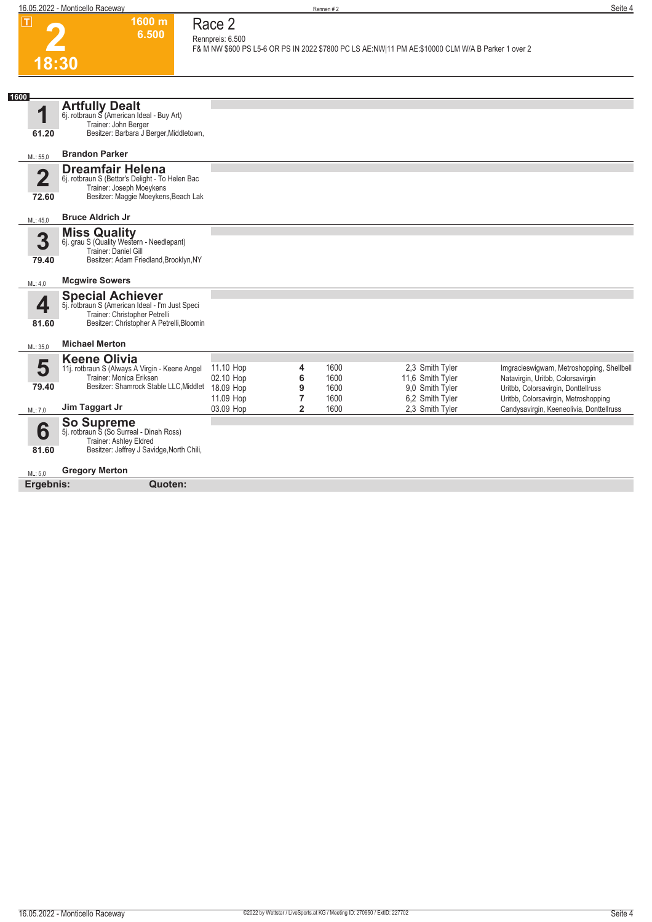

### **Race 2 Rennpreis: 6.500**

**1600 m 6.500** 

**F& M NW \$600 PS L5-6 OR PS IN 2022 \$7800 PC LS AE:NW|11 PM AE:\$10000 CLM W/A B Parker 1 over 2** 

| 1600<br><b>Artfully Dealt</b><br>И<br>6j. rotbraun S (American Ideal - Buy Art)<br>Trainer: John Berger<br>Besitzer: Barbara J Berger, Middletown,<br>61.20<br><b>Brandon Parker</b><br>ML: 55,0<br><b>Dreamfair Helena</b><br>$\mathbf 2$<br>6j. rotbraun S (Bettor's Delight - To Helen Bac<br>Trainer: Joseph Moeykens<br>Besitzer: Maggie Moeykens, Beach Lak<br>72.60<br><b>Bruce Aldrich Jr</b><br>ML: 45.0<br><b>Miss Quality</b><br>3<br>6j. grau S (Quality Western - Needlepant)<br>Trainer: Daniel Gill<br>Besitzer: Adam Friedland, Brooklyn, NY<br>79.40<br><b>Mcgwire Sowers</b><br>ML: 4,0<br><b>Special Achiever</b><br>4<br>5j. rotbraun S (American Ideal - I'm Just Speci<br>Trainer: Christopher Petrelli<br>Besitzer: Christopher A Petrelli, Bloomin<br>81.60 |  |
|-------------------------------------------------------------------------------------------------------------------------------------------------------------------------------------------------------------------------------------------------------------------------------------------------------------------------------------------------------------------------------------------------------------------------------------------------------------------------------------------------------------------------------------------------------------------------------------------------------------------------------------------------------------------------------------------------------------------------------------------------------------------------------------|--|
|                                                                                                                                                                                                                                                                                                                                                                                                                                                                                                                                                                                                                                                                                                                                                                                     |  |
|                                                                                                                                                                                                                                                                                                                                                                                                                                                                                                                                                                                                                                                                                                                                                                                     |  |
|                                                                                                                                                                                                                                                                                                                                                                                                                                                                                                                                                                                                                                                                                                                                                                                     |  |
|                                                                                                                                                                                                                                                                                                                                                                                                                                                                                                                                                                                                                                                                                                                                                                                     |  |
|                                                                                                                                                                                                                                                                                                                                                                                                                                                                                                                                                                                                                                                                                                                                                                                     |  |
|                                                                                                                                                                                                                                                                                                                                                                                                                                                                                                                                                                                                                                                                                                                                                                                     |  |
|                                                                                                                                                                                                                                                                                                                                                                                                                                                                                                                                                                                                                                                                                                                                                                                     |  |
| <b>Michael Merton</b><br>ML: 35,0                                                                                                                                                                                                                                                                                                                                                                                                                                                                                                                                                                                                                                                                                                                                                   |  |
| <b>Keene Olivia</b><br>5<br>11.10 Hop<br>1600<br>2,3 Smith Tyler<br>4<br>Imgracieswigwam, Metroshopping, Shellbell<br>11j. rotbraun S (Always A Virgin - Keene Angel<br>Trainer: Monica Eriksen<br>02.10 Hop<br>6<br>1600<br>11,6 Smith Tyler<br>Natavirgin, Uritbb, Colorsavirgin<br>Besitzer: Shamrock Stable LLC, Middlet<br>79.40<br>9,0 Smith Tyler<br>18.09 Hop<br>9<br>Uritbb, Colorsavirgin, Donttellruss<br>1600                                                                                                                                                                                                                                                                                                                                                           |  |
| 6,2 Smith Tyler<br>11.09 Hop<br>7<br>1600<br>Uritbb, Colorsavirgin, Metroshopping<br>Jim Taggart Jr<br>03.09 Hop<br>$\overline{2}$<br>1600<br>2,3 Smith Tyler<br>Candysavirgin, Keeneolivia, Donttellruss<br>ML: 7,0                                                                                                                                                                                                                                                                                                                                                                                                                                                                                                                                                                |  |
| <b>So Supreme</b><br>5j. rotbraun S (So Surreal - Dinah Ross)<br>6<br>Trainer: Ashley Eldred<br>Besitzer: Jeffrey J Savidge, North Chili,<br>81.60                                                                                                                                                                                                                                                                                                                                                                                                                                                                                                                                                                                                                                  |  |
|                                                                                                                                                                                                                                                                                                                                                                                                                                                                                                                                                                                                                                                                                                                                                                                     |  |
| <b>Gregory Merton</b><br>ML: 5.0                                                                                                                                                                                                                                                                                                                                                                                                                                                                                                                                                                                                                                                                                                                                                    |  |
| Ergebnis:<br>Quoten:                                                                                                                                                                                                                                                                                                                                                                                                                                                                                                                                                                                                                                                                                                                                                                |  |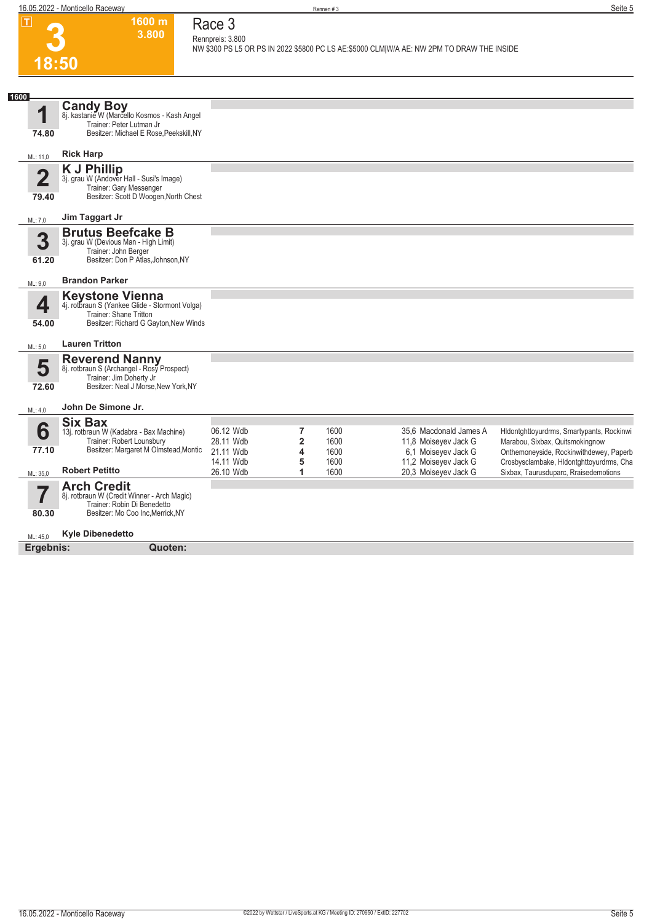**1600 m 3.800**  **Race 3 Rennpreis: 3.800**

# **3**

|      | 18:50                   |                                                                                                                                             |                                     |                                                             |                      | NW \$300 PS L5 OR PS IN 2022 \$5800 PC LS AE:\$5000 CLM W/A AE: NW 2PM TO DRAW THE INSIDE |                                                                                                                         |
|------|-------------------------|---------------------------------------------------------------------------------------------------------------------------------------------|-------------------------------------|-------------------------------------------------------------|----------------------|-------------------------------------------------------------------------------------------|-------------------------------------------------------------------------------------------------------------------------|
|      |                         |                                                                                                                                             |                                     |                                                             |                      |                                                                                           |                                                                                                                         |
| 1600 | И                       | <b>Candy Boy</b><br>8j. kastanie W (Marcello Kosmos - Kash Angel<br>Trainer: Peter Lutman Jr<br>Besitzer: Michael E Rose, Peekskill, NY     |                                     |                                                             |                      |                                                                                           |                                                                                                                         |
|      | 74.80<br>ML: 11,0       | <b>Rick Harp</b>                                                                                                                            |                                     |                                                             |                      |                                                                                           |                                                                                                                         |
|      | $\overline{2}$<br>79.40 | <b>K J Phillip</b><br>3j. grau W (Andover Hall - Susi's Image)<br>Trainer: Gary Messenger<br>Besitzer: Scott D Woogen, North Chest          |                                     |                                                             |                      |                                                                                           |                                                                                                                         |
|      | ML: 7,0                 | Jim Taggart Jr                                                                                                                              |                                     |                                                             |                      |                                                                                           |                                                                                                                         |
|      | 3<br>61.20              | <b>Brutus Beefcake B</b><br>3j. grau W (Devious Man - High Limit)<br>Trainer: John Berger<br>Besitzer: Don P Atlas, Johnson, NY             |                                     |                                                             |                      |                                                                                           |                                                                                                                         |
|      | ML: 9.0                 | <b>Brandon Parker</b>                                                                                                                       |                                     |                                                             |                      |                                                                                           |                                                                                                                         |
|      | 4<br>54.00              | <b>Keystone Vienna</b><br>4j. rotbraun S (Yankee Glide - Stormont Volga)<br>Trainer: Shane Tritton<br>Besitzer: Richard G Gayton, New Winds |                                     |                                                             |                      |                                                                                           |                                                                                                                         |
|      | ML: 5,0                 | <b>Lauren Tritton</b>                                                                                                                       |                                     |                                                             |                      |                                                                                           |                                                                                                                         |
|      | 5<br>72.60              | <b>Reverend Nanny</b><br>8j. rotbraun S (Archangel - Rosy Prospect)<br>Trainer: Jim Doherty Jr<br>Besitzer: Neal J Morse, New York, NY      |                                     |                                                             |                      |                                                                                           |                                                                                                                         |
|      | ML: 4,0                 | John De Simone Jr.                                                                                                                          |                                     |                                                             |                      |                                                                                           |                                                                                                                         |
|      | 6<br>77.10              | <b>Six Bax</b><br>13j. rotbraun W (Kadabra - Bax Machine)<br>Trainer: Robert Lounsbury<br>Besitzer: Margaret M Olmstead, Montic             | 06.12 Wdb<br>28.11 Wdb<br>21.11 Wdb | $\overline{7}$<br>$\overline{2}$<br>$\overline{\mathbf{4}}$ | 1600<br>1600<br>1600 | 35,6 Macdonald James A<br>11,8 Moiseyev Jack G<br>6.1 Moiseyev Jack G                     | Hldontghttoyurdrms, Smartypants, Rockinwi<br>Marabou, Sixbax, Quitsmokingnow<br>Onthemoneyside, Rockinwithdewey, Paperb |
|      | ML: 35,0                | <b>Robert Petitto</b>                                                                                                                       | 14.11 Wdb<br>26.10 Wdb              | 5<br>1                                                      | 1600<br>1600         | 11,2 Moiseyev Jack G<br>20,3 Moiseyev Jack G                                              | Crosbysclambake, Hidontghttoyurdrms, Cha<br>Sixbax, Taurusduparc, Rraisedemotions                                       |
|      | I<br>80.30              | <b>Arch Credit</b><br>8j. rotbraun W (Credit Winner - Arch Magic)<br>Trainer: Robin Di Benedetto<br>Besitzer: Mo Coo Inc, Merrick, NY       |                                     |                                                             |                      |                                                                                           |                                                                                                                         |
|      | ML: 45,0                | <b>Kyle Dibenedetto</b>                                                                                                                     |                                     |                                                             |                      |                                                                                           |                                                                                                                         |
|      | Ergebnis:               | Quoten:                                                                                                                                     |                                     |                                                             |                      |                                                                                           |                                                                                                                         |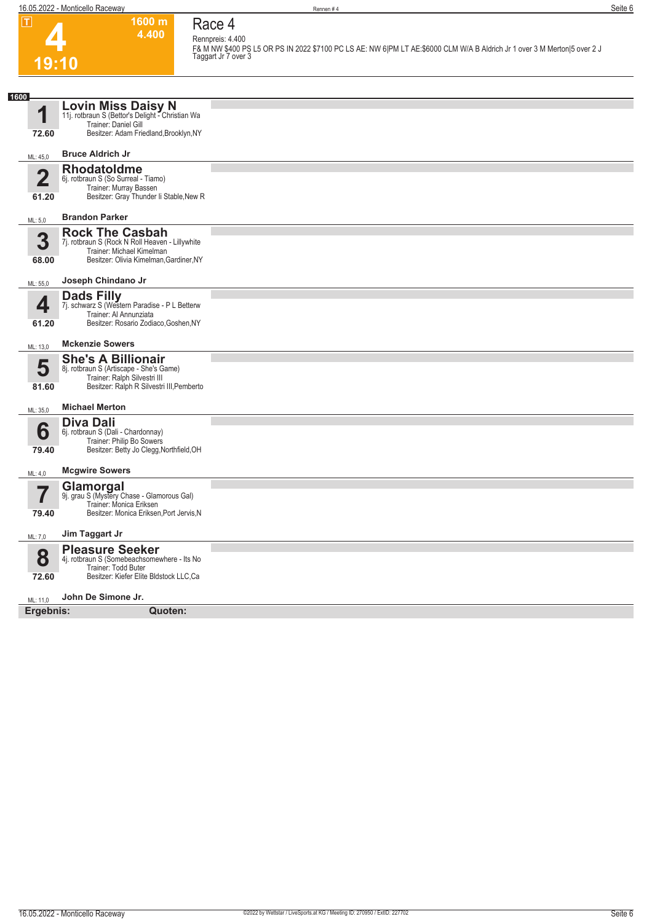**4**

**19:10**



#### **Race 4 Rennpreis: 4.400**

**F& M NW \$400 PS L5 OR PS IN 2022 \$7100 PC LS AE: NW 6|PM LT AE:\$6000 CLM W/A B Aldrich Jr 1 over 3 M Merton|5 over 2 J Taggart Jr 7 over 3** 

| 1600                    |                                                                                                                                                   |  |
|-------------------------|---------------------------------------------------------------------------------------------------------------------------------------------------|--|
| 1                       | <b>Lovin Miss Daisy N</b><br>11j. rotbraun S (Bettor's Delight - Christian Wa<br>Trainer: Daniel Gill                                             |  |
| 72.60                   | Besitzer: Adam Friedland, Brooklyn, NY                                                                                                            |  |
| ML: 45,0                | <b>Bruce Aldrich Jr</b>                                                                                                                           |  |
| $\overline{2}$<br>61.20 | <b>Rhodatoldme</b><br>6j. rotbraun S (So Surreal - Tiamo)<br>Trainer: Murray Bassen<br>Besitzer: Gray Thunder Ii Stable, New R                    |  |
| ML: 5,0                 | <b>Brandon Parker</b>                                                                                                                             |  |
| 3<br>68.00              | <b>Rock The Casbah</b><br>7j. rotbraun S (Rock N Roll Heaven - Lillywhite<br>Trainer: Michael Kimelman<br>Besitzer: Olivia Kimelman, Gardiner, NY |  |
| ML: 55,0                | Joseph Chindano Jr                                                                                                                                |  |
| 4<br>61.20              | <b>Dads Filly</b><br>7j. schwarz S (Western Paradise - P L Betterw<br>Trainer: Al Annunziata<br>Besitzer: Rosario Zodiaco, Goshen, NY             |  |
| ML: 13,0                | <b>Mckenzie Sowers</b>                                                                                                                            |  |
| 5<br>81.60              | <b>She's A Billionair</b><br>8j. rotbraun S (Artiscape - She's Game)<br>Trainer: Ralph Silvestri III<br>Besitzer: Ralph R Silvestri III, Pemberto |  |
| ML: 35,0                | <b>Michael Merton</b>                                                                                                                             |  |
| 6<br>79.40              | Diva Dali<br>6j. rotbraun S (Dali - Chardonnay)<br>Trainer: Philip Bo Sowers<br>Besitzer: Betty Jo Clegg, Northfield, OH                          |  |
| ML: 4,0                 | <b>Mcgwire Sowers</b>                                                                                                                             |  |
| 79.40                   | Glamorgal<br>9j. grau S (Mystery Chase - Glamorous Gal)<br>Trainer: Monica Eriksen<br>Besitzer: Monica Eriksen, Port Jervis, N                    |  |
| ML: 7,0                 | Jim Taggart Jr                                                                                                                                    |  |
| 8<br>72.60              | <b>Pleasure Seeker</b><br>4j. rotbraun S (Somebeachsomewhere - Its No<br>Trainer: Todd Buter<br>Besitzer: Kiefer Elite Bldstock LLC, Ca           |  |
| ML: 11,0                | John De Simone Jr.                                                                                                                                |  |
| Ergebnis:               | Quoten:                                                                                                                                           |  |
|                         |                                                                                                                                                   |  |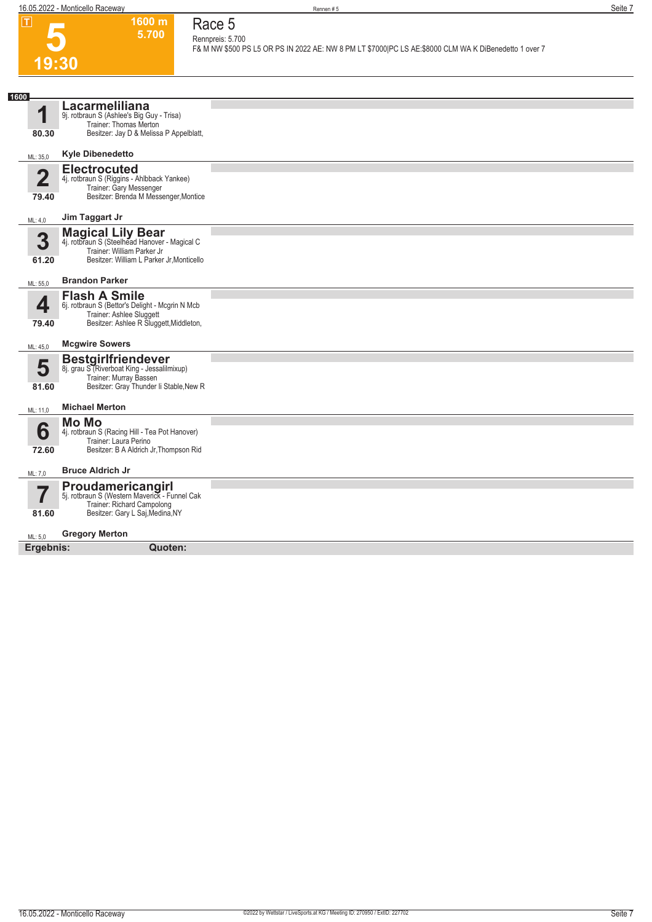**1600 m 5.700**  **Race 5 Rennpreis: 5.700**

**F& M NW \$500 PS L5 OR PS IN 2022 AE: NW 8 PM LT \$7000|PC LS AE:\$8000 CLM WA K DiBenedetto 1 over 7** 

## **5 19:30**

| 1600                    |                                                                                                                                                      |  |
|-------------------------|------------------------------------------------------------------------------------------------------------------------------------------------------|--|
| 4<br>80.30              | Lacarmeliliana<br>9j. rotbraun S (Ashlee's Big Guy - Trisa)<br>Trainer: Thomas Merton<br>Besitzer: Jay D & Melissa P Appelblatt,                     |  |
| ML: 35,0                | <b>Kyle Dibenedetto</b>                                                                                                                              |  |
| $\overline{2}$<br>79.40 | <b>Electrocuted</b><br>4j. rotbraun S (Riggins - Ahlbback Yankee)<br>Trainer: Gary Messenger<br>Besitzer: Brenda M Messenger, Montice                |  |
| ML: 4,0                 | Jim Taggart Jr                                                                                                                                       |  |
| 3<br>61.20              | <b>Magical Lily Bear</b><br>4j. rotbraun S (Steelhead Hanover - Magical C<br>Trainer: William Parker Jr<br>Besitzer: William L Parker Jr, Monticello |  |
| ML: 55,0                | <b>Brandon Parker</b>                                                                                                                                |  |
| 4<br>79.40              | <b>Flash A Smile</b><br>6j. rotbraun S (Bettor's Delight - Mcgrin N Mcb<br>Trainer: Ashlee Sluggett<br>Besitzer: Ashlee R Sluggett, Middleton,       |  |
| ML: 45,0                | <b>Mcgwire Sowers</b>                                                                                                                                |  |
| 5<br>81.60              | <b>Bestgirlfriendever</b><br>8j. grau S (Riverboat King - Jessalilmixup)<br>Trainer: Murray Bassen<br>Besitzer: Gray Thunder Ii Stable New R         |  |
| ML: 11,0                | <b>Michael Merton</b>                                                                                                                                |  |
| 6<br>72.60              | <b>Mo Mo</b><br>4j. rotbraun S (Racing Hill - Tea Pot Hanover)<br>Trainer: Laura Perino<br>Besitzer: B A Aldrich Jr, Thompson Rid                    |  |
| ML: 7,0                 | <b>Bruce Aldrich Jr</b>                                                                                                                              |  |
| 7<br>81.60              | <b>Proudamericangirl</b><br>5j. rotbraun S (Western Maverick - Funnel Cak<br>Trainer: Richard Campolong<br>Besitzer: Gary L Saj, Medina, NY          |  |
| ML: 5,0                 | <b>Gregory Merton</b>                                                                                                                                |  |
| Ergebnis:               | Quoten:                                                                                                                                              |  |
|                         |                                                                                                                                                      |  |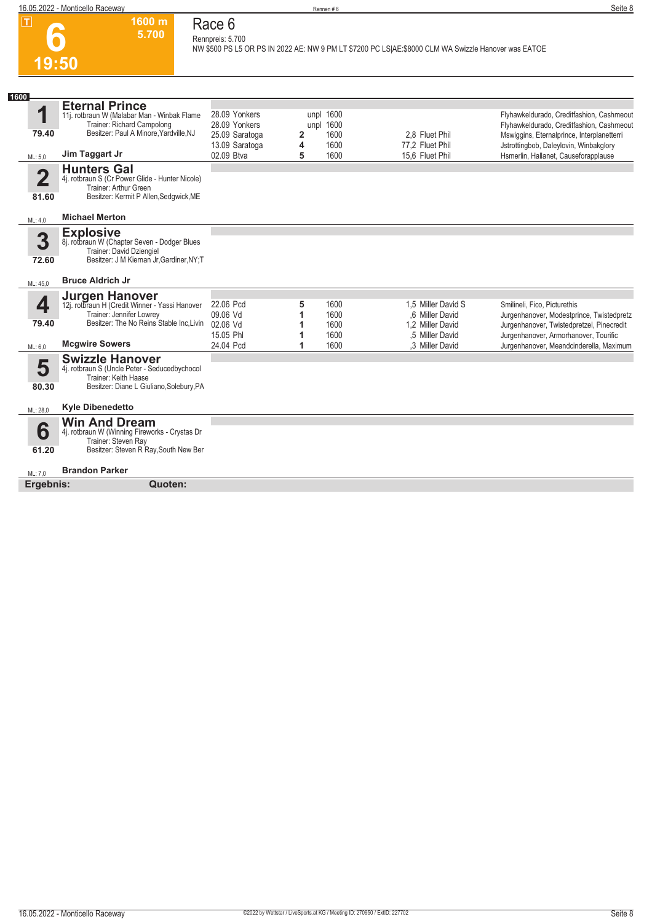

#### **1600 m 5.700 Race 6 Rennpreis: 5.700**

**NW \$500 PS L5 OR PS IN 2022 AE: NW 9 PM LT \$7200 PC LS|AE:\$8000 CLM WA Swizzle Hanover was EATOE** 

| 1600                             |                                                                                                                                            |                                                  |        |                                |                                     |                                                                                                                                      |
|----------------------------------|--------------------------------------------------------------------------------------------------------------------------------------------|--------------------------------------------------|--------|--------------------------------|-------------------------------------|--------------------------------------------------------------------------------------------------------------------------------------|
| 1<br>79.40                       | <b>Eternal Prince</b><br>11j. rotbraun W (Malabar Man - Winbak Flame<br>Trainer: Richard Campolong<br>Besitzer: Paul A Minore Yardville NJ | 28.09 Yonkers<br>28.09 Yonkers<br>25.09 Saratoga | 2      | unpl 1600<br>unpl 1600<br>1600 | 2.8 Fluet Phil                      | Flyhawkeldurado, Creditfashion, Cashmeout<br>Flyhawkeldurado, Creditfashion, Cashmeout<br>Mswiggins, Eternalprince, Interplanetterri |
| ML: 5.0                          | Jim Taggart Jr                                                                                                                             | 13.09 Saratoga<br>02.09 Btva                     | 4<br>5 | 1600<br>1600                   | 77,2 Fluet Phil<br>15.6 Fluet Phil  | Jstrottingbob, Daleylovin, Winbakglory<br>Hsmerlin, Hallanet, Causeforapplause                                                       |
|                                  |                                                                                                                                            |                                                  |        |                                |                                     |                                                                                                                                      |
| $\overline{\mathbf{2}}$<br>81.60 | <b>Hunters Gal</b><br>4j. rotbraun S (Cr Power Glide - Hunter Nicole)<br>Trainer: Arthur Green<br>Besitzer: Kermit P Allen, Sedgwick, ME   |                                                  |        |                                |                                     |                                                                                                                                      |
| ML: 4,0                          | <b>Michael Merton</b>                                                                                                                      |                                                  |        |                                |                                     |                                                                                                                                      |
|                                  | <b>Explosive</b>                                                                                                                           |                                                  |        |                                |                                     |                                                                                                                                      |
| 3                                | 8j. rotbraun W (Chapter Seven - Dodger Blues                                                                                               |                                                  |        |                                |                                     |                                                                                                                                      |
|                                  | Trainer: David Dziengiel<br>Besitzer: J M Kiernan Jr, Gardiner, NY; T                                                                      |                                                  |        |                                |                                     |                                                                                                                                      |
| 72.60                            |                                                                                                                                            |                                                  |        |                                |                                     |                                                                                                                                      |
| ML: 45.0                         | <b>Bruce Aldrich Jr</b>                                                                                                                    |                                                  |        |                                |                                     |                                                                                                                                      |
|                                  | <b>Jurgen Hanover</b>                                                                                                                      |                                                  |        |                                |                                     |                                                                                                                                      |
| 4                                | 12j. rotbraun H (Credit Winner - Yassi Hanover                                                                                             | 22.06 Pcd                                        | 5      | 1600                           | 1.5 Miller David S                  | Smilineli, Fico, Picturethis                                                                                                         |
| 79.40                            | Trainer: Jennifer Lowrey<br>Besitzer: The No Reins Stable Inc.Livin                                                                        | 09.06 Vd                                         | 1      | 1600                           | .6 Miller David                     | Jurgenhanover, Modestprince, Twistedpretz                                                                                            |
|                                  |                                                                                                                                            | 02.06 Vd<br>15.05 Phl                            | 1      | 1600<br>1600                   | 1,2 Miller David<br>.5 Miller David | Jurgenhanover, Twistedpretzel, Pinecredit<br>Jurgenhanover, Armorhanover, Tourific                                                   |
| ML: 6,0                          | <b>Mcgwire Sowers</b>                                                                                                                      | 24.04 Pcd                                        | 1      | 1600                           | .3 Miller David                     | Jurgenhanover, Meandcinderella, Maximum                                                                                              |
|                                  |                                                                                                                                            |                                                  |        |                                |                                     |                                                                                                                                      |
| 5                                | <b>Swizzle Hanover</b><br>4j. rotbraun S (Uncle Peter - Seducedbychocol                                                                    |                                                  |        |                                |                                     |                                                                                                                                      |
|                                  | Trainer: Keith Haase                                                                                                                       |                                                  |        |                                |                                     |                                                                                                                                      |
| 80.30                            | Besitzer: Diane L Giuliano, Solebury, PA                                                                                                   |                                                  |        |                                |                                     |                                                                                                                                      |
| ML: 28,0                         | <b>Kyle Dibenedetto</b>                                                                                                                    |                                                  |        |                                |                                     |                                                                                                                                      |
|                                  | <b>Win And Dream</b>                                                                                                                       |                                                  |        |                                |                                     |                                                                                                                                      |
| 6                                | 4j. rotbraun W (Winning Fireworks - Crystas Dr                                                                                             |                                                  |        |                                |                                     |                                                                                                                                      |
|                                  | Trainer: Steven Ray<br>Besitzer: Steven R Ray, South New Ber                                                                               |                                                  |        |                                |                                     |                                                                                                                                      |
| 61.20                            |                                                                                                                                            |                                                  |        |                                |                                     |                                                                                                                                      |
| ML: 7.0                          | <b>Brandon Parker</b>                                                                                                                      |                                                  |        |                                |                                     |                                                                                                                                      |
| Ergebnis:                        | Quoten:                                                                                                                                    |                                                  |        |                                |                                     |                                                                                                                                      |
|                                  |                                                                                                                                            |                                                  |        |                                |                                     |                                                                                                                                      |